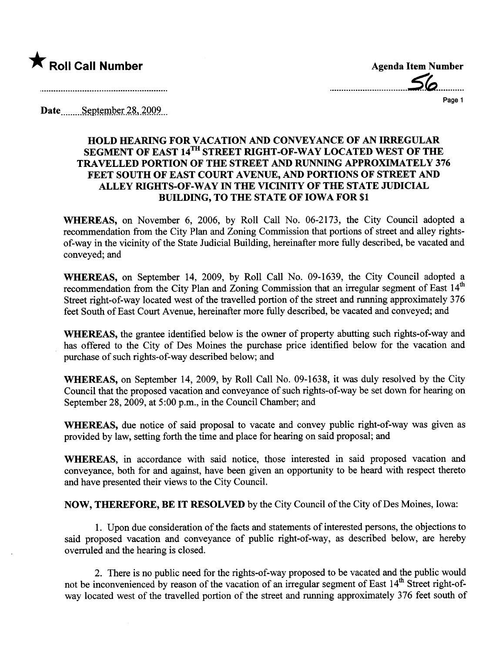

................\_\_\_\_\_\_\_\_\_\_\_\_\_\_\_\_\_S~........... Page 1

Date September  $28,2009$ 

## HOLD HEARNG FOR VACATION AND CONVEYANCE OF AN IRRGULAR SEGMENT OF EAST 14<sup>TH</sup> STREET RIGHT-OF-WAY LOCATED WEST OF THE TRAVELLED PORTION OF THE STREET AND RUNNING APPROXIMATELY 376 FEET SOUTH OF EAST COURT AVENUE, AND PORTIONS OF STREET AND ALLEY RIGHTS-OF-WAY IN THE VICINITY OF THE STATE JUDICIAL BUILDING, TO THE STATE OF IOWA FOR \$1

WHEREAS, on November 6, 2006, by Roll Call No. 06-2173, the City Council adopted a recommendation from the City Plan and Zoning Commission that portions of street and alley rightsof-way in the vicinity of the State Judicial Building, hereinafter more fully described, be vacated and conveyed; and

WHEREAS, on September 14, 2009, by Roll Call No. 09-1639, the City Council adopted a recommendation from the City Plan and Zoning Commission that an irregular segment of East 14<sup>th</sup> Street right-of-way located west of the travelled portion of the street and running approximately 376 feet South of East Court Avenue, hereinafter more fully described, be vacated and conveyed; and

WHEREAS, the grantee identified below is the owner of property abutting such rights-of-way and has offered to the City of Des Moines the purchase price identified below for the vacation and purchase of such rights-of-way described below; and

WHEREAS, on September 14, 2009, by Roll Call No. 09-1638, it was duly resolved by the City Council that the proposed vacation and conveyance of such rights-of-way be set down for hearng on September 28, 2009, at 5:00 p.m., in the Council Chamber; and

WHEREAS, due notice of said proposal to vacate and convey public right-of-way was given as provided by law, setting forth the time and place for hearing on said proposal; and

WHEREAS, in accordance with said notice, those interested in said proposed vacation and conveyance, both for and against, have been given an opportunity to be heard with respect thereto and have presented their views to the City CounciL.

NOW, THEREFORE, BE IT RESOLVED by the City Council of the City of Des Moines, Iowa:

1. Upon due consideration of the facts and statements of interested persons, the objections to said proposed vacation and conveyance of public right-of-way, as described below, are hereby overruled and the hearing is closed.

2. There is no public need for the rights-of-way proposed to be vacated and the public would not be inconvenienced by reason of the vacation of an irregular segment of East 14<sup>th</sup> Street right-ofway located west of the travelled portion of the street and running approximately 376 feet south of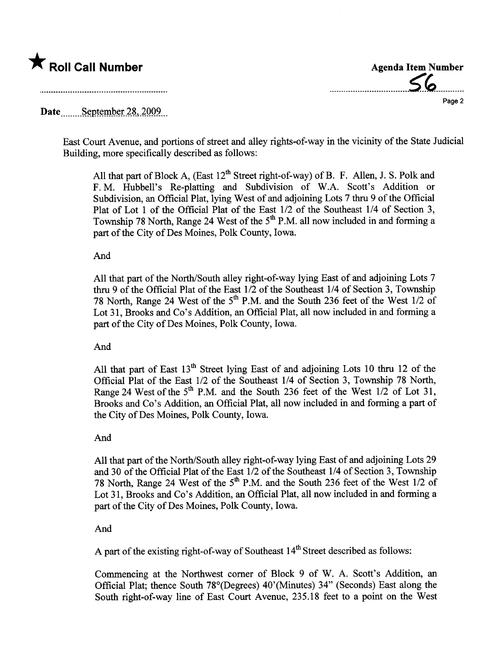

.\_-----\_..........................~~------\_.\_... Page 2

# Date September 28, 2009.

East Court Avenue, and portions of street and alley rights-of-way in the vicinity of the State Judicial Building, more specifically described as follows:

All that part of Block A, (East  $12^{th}$  Street right-of-way) of B. F. Allen, J. S. Polk and F. M. Hubbell's Re-platting and Subdivision of W.A. Scott's Addition or Subdivision, an Official Plat, lying West of and adjoining Lots 7 thru 9 of the Official Plat of Lot 1 of the Official Plat of the East  $1/2$  of the Southeast  $1/4$  of Section 3, Township 78 North, Range 24 West of the  $5<sup>th</sup>$  P.M. all now included in and forming a part of the City of Des Moines, Polk County, Iowa.

#### And

All that part of the North/South alley right-of-way lying East of and adjoining Lots 7 thru 9 of the Official Plat of the East 1/2 of the Southeast 1/4 of Section 3, Township 78 North, Range 24 West of the  $5<sup>th</sup>$  P.M. and the South 236 feet of the West 1/2 of Lot 31, Brooks and Co's Addition, an Official Plat, all now included in and forming a part of the City of Des Moines, Polk County, Iowa.

## And

All that part of East  $13<sup>th</sup>$  Street lying East of and adjoining Lots 10 thru 12 of the Official Plat of the East 1/2 of the Southeast 1/4 of Section 3, Township 78 North, Range 24 West of the  $5<sup>th</sup>$  P.M. and the South 236 feet of the West  $1/2$  of Lot 31, Brooks and Co's Addition, an Official Plat, all now included in and forming a part of the City of Des Moines, Polk County, Iowa.

## And

All that part of the North/South alley right-of-way lying East of and adjoining Lots 29 and 30 of the Official Plat of the East  $1/2$  of the Southeast  $1/4$  of Section 3, Township 78 North, Range 24 West of the 5<sup>th</sup> P.M. and the South 236 feet of the West 1/2 of Lot 31, Brooks and Co's Addition, an Official Plat, all now included in and forming a part of the City of Des Moines, Polk County, Iowa.

## And

A part of the existing right-of-way of Southeast  $14<sup>th</sup>$  Street described as follows:

Commencing at the Northwest comer of Block 9 of W. A. Scott's Addition, an Official Plat; thence South 78°(Degrees) 40'(Minutes) 34" (Seconds) East along the South right-of-way line of East Cour Avenue, 235.18 feet to a point on the West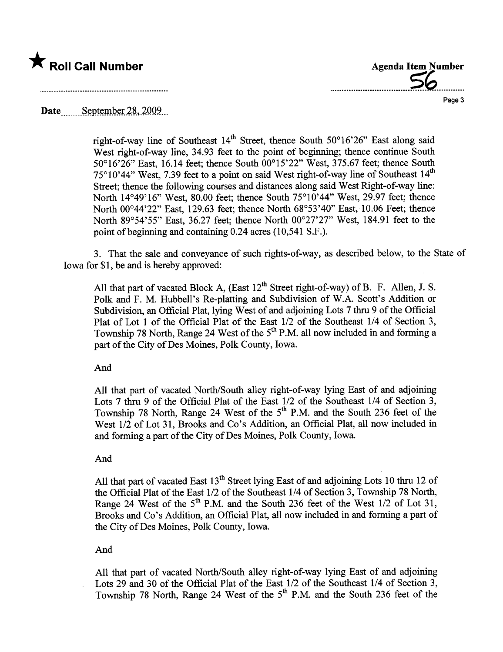



Date  $S$ eptember 28, 2009.

right-of-way line of Southeast  $14<sup>th</sup>$  Street, thence South 50°16'26" East along said West right-of-way line, 34.93 feet to the point of beginning; thence continue South 50°16'26" East, 16.14 feet; thence South 00°15'22" West, 375.67 feet; thence South 75°10'44" West, 7.39 feet to a point on said West right-of-way line of Southeast 14<sup>th</sup> Street; thence the following courses and distances along said West Right-of-way line: North  $14^{\circ}49'16''$  West,  $80.00$  feet; thence South  $75^{\circ}10'44''$  West, 29.97 feet; thence North 00°44'22" East, 129.63 feet; thence North 68°53'40" East, 10.06 Feet; thence North 89°54'55" East, 36.27 feet; thence North 00°27'27" West, 184.91 feet to the point of beginning and containing 0.24 acres (10,541 S.F.).

3. That the sale and conveyance of such rights-of-way, as described below, to the State of Iowa for \$1, be and is hereby approved:

All that part of vacated Block A, (East  $12<sup>th</sup>$  Street right-of-way) of B. F. Allen, J. S. Polk and F. M. Hubbell's Re-platting and Subdivision of W.A. Scott's Addition or Subdivision, an Official Plat, lying West of and adjoining Lots 7 thru 9 of the Official Plat of Lot 1 of the Official Plat of the East 1/2 of the Southeast 1/4 of Section 3, Township 78 North, Range 24 West of the  $5<sup>th</sup>$  P.M. all now included in and forming a part of the City of Des Moines, Polk County, Iowa.

And

All that part of vacated North/South alley right-of-way lying East of and adjoining Lots 7 thru 9 of the Official Plat of the East 1/2 of the Southeast 1/4 of Section 3, Township 78 North, Range 24 West of the  $5<sup>th</sup>$  P.M. and the South 236 feet of the West  $1/2$  of Lot 31, Brooks and Co's Addition, an Official Plat, all now included in and forming a part of the City of Des Moines, Polk County, Iowa.

## And

All that part of vacated East  $13<sup>th</sup>$  Street lying East of and adjoining Lots 10 thru 12 of the Official Plat of the East 1/2 of the Southeast 1/4 of Section 3, Township 78 North, Range 24 West of the  $5<sup>th</sup>$  P.M. and the South 236 feet of the West 1/2 of Lot 31, Brooks and Co's Addition, an Official Plat, all now included in and forming a part of the City of Des Moines, Polk County, Iowa.

## And

All that part of vacated North/South alley right-of-way lying East of and adjoining Lots 29 and 30 of the Official Plat of the East 1/2 of the Southeast 1/4 of Section 3, Township 78 North, Range 24 West of the  $5<sup>th</sup>$  P.M. and the South 236 feet of the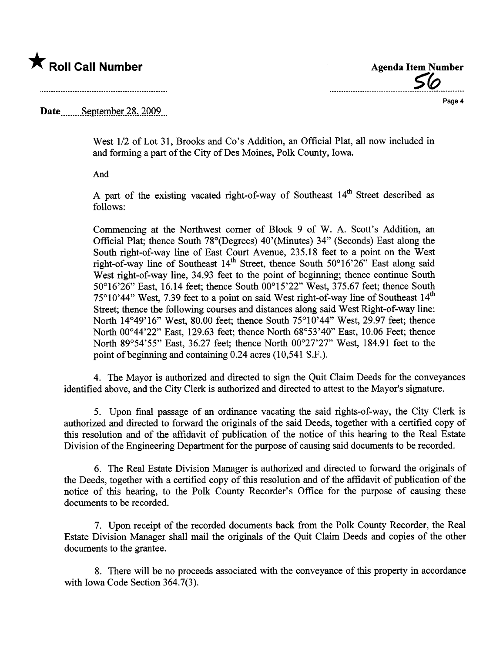# \* Roll Call Number Agenda Item Number

<u>56</u>

Page 4

Date  $S$ eptember 28, 2009.

West  $1/2$  of Lot 31, Brooks and Co's Addition, an Official Plat, all now included in and forming a part of the City of Des Moines, Polk County, Iowa.

And

A part of the existing vacated right-of-way of Southeast  $14<sup>th</sup>$  Street described as follows:

Commencing at the Northwest comer of Block 9 of W. A. Scott's Addition, an Official Plat; thence South 78°(Degrees) 40'(Minutes) 34" (Seconds) East along the South right-of-way line of East Court Avenue, 235.18 feet to a point on the West right-of-way line of Southeast  $14<sup>th</sup>$  Street, thence South 50°16'26" East along said West right-of-way line, 34.93 feet to the point of beginning; thence continue South 50°16'26" East, 16.14 feet; thence South 00°15'22" West, 375.67 feet; thence South  $75^{\circ}10'44''$  West, 7.39 feet to a point on said West right-of-way line of Southeast  $14<sup>th</sup>$ Street; thence the following courses and distances along said West Right-of-way line: North 14°49'16" West, 80.00 feet; thence South 75°10'44" West, 29.97 feet; thence North 00°44'22" East, 129.63 feet; thence North 68°53'40" East, 10.06 Feet; thence North 89°54'55" East, 36.27 feet; thence North 00°27'27" West, 184.91 feet to the point of beginning and containing 0.24 acres (10,541 S.F.).

4. The Mayor is authorized and directed to sign the Quit Claim Deeds for the conveyances identified above, and the City Clerk is authorized and directed to attest to the Mayor's signatue.

5. Upon final passage of an ordinance vacating the said rights-of-way, the City Clerk is authorized and directed to forward the originals of the said Deeds, together with a certified copy of ths resolution and of the affdavit of publication of the notice of this hearng to the Real Estate Division of the Engineering Deparment for the purose of causing said documents to be recorded.

6. The Real Estate Division Manager is authorized and directed to forward the originals of the Deeds, together with a certified copy of ths resolution and of the affidavit of publication of the notice of this hearing, to the Polk County Recorder's Office for the purpose of causing these documents to be recorded.

7. Upon receipt of the recorded documents back from the Polk County Recorder, the Real Estate Division Manager shall mail the originals of the Quit Claim Deeds and copies of the other documents to the grantee.

8. There will be no proceeds associated with the conveyance of this property in accordance with Iowa Code Section 364.7(3).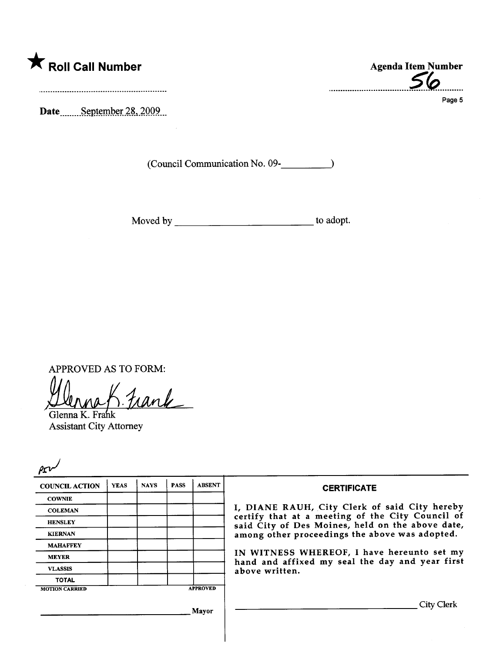

Date September 28, 2009

(Council Communication No. 09-

Moved by to adopt.

APPROVED AS TO FORM:<br>Henna K. Frank

Glenna K. Frah Assistant City Attorney

| <b>COUNCIL ACTION</b> | <b>YEAS</b> | <b>NAYS</b> | <b>PASS</b> | <b>ABSENT</b>   | <b>CERTIFICATE</b>                                                                                   |
|-----------------------|-------------|-------------|-------------|-----------------|------------------------------------------------------------------------------------------------------|
| <b>COWNIE</b>         |             |             |             |                 |                                                                                                      |
| <b>COLEMAN</b>        |             |             |             |                 | I, DIANE RAUH, City Clerk of said City hereby                                                        |
| <b>HENSLEY</b>        |             |             |             |                 | certify that at a meeting of the City Council of<br>said City of Des Moines, held on the above date, |
| <b>KIERNAN</b>        |             |             |             |                 | among other proceedings the above was adopted.                                                       |
| <b>MAHAFFEY</b>       |             |             |             |                 |                                                                                                      |
| <b>MEYER</b>          |             |             |             |                 | IN WITNESS WHEREOF, I have hereunto set my<br>hand and affixed my seal the day and year first        |
| <b>VLASSIS</b>        |             |             |             |                 | above written.                                                                                       |
| <b>TOTAL</b>          |             |             |             |                 |                                                                                                      |
| <b>MOTION CARRIED</b> |             |             |             | <b>APPROVED</b> |                                                                                                      |
|                       |             |             |             | Mavor           | City Clerk                                                                                           |

...............\_..................~~..........

Page 5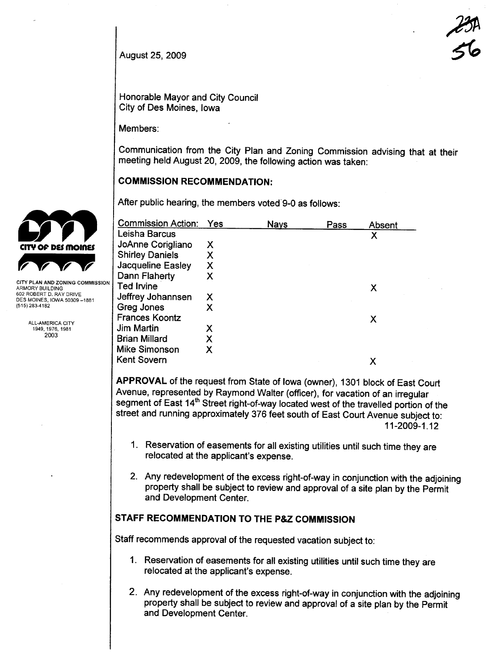August 25, 2009

 $z$ #5A<br>56

Honorable Mayor and City Council City of Des Moines, Iowa

Members:

Communication from the City Plan and Zoning Commission advising that at their meeting held August 20,2009, the following action was taken:

## COMMISSION RECOMMENDATION:

After public hearing, the members voted 9-0 as follows:

|                                                        | <b>Commission Action:</b> | Yes | <b>Nays</b> | Pass | Absent |
|--------------------------------------------------------|---------------------------|-----|-------------|------|--------|
|                                                        | Leisha Barcus             |     |             |      | Χ      |
| <b>CITY OF DES MOINES</b>                              | JoAnne Corigliano         | Х   |             |      |        |
|                                                        | <b>Shirley Daniels</b>    | Χ   |             |      |        |
|                                                        | Jacqueline Easley         | X   |             |      |        |
|                                                        | Dann Flaherty             | X   |             |      |        |
| CITY PLAN AND ZONING COMMISSION<br>ARMORY BUILDING     | <b>Ted Irvine</b>         |     |             |      | Χ      |
| 602 ROBERT D. RAY DRIVE<br>DES MOINES, IOWA 50309-1881 | Jeffrey Johannsen         | Х   |             |      |        |
| (515) 283-4182                                         | Greg Jones                | Х   |             |      |        |
|                                                        | <b>Frances Koontz</b>     |     |             |      | Х      |
| ALL-AMERICA CITY<br>1949, 1976, 1981                   | <b>Jim Martin</b>         | Х   |             |      |        |
| 2003                                                   | <b>Brian Millard</b>      | Χ   |             |      |        |
|                                                        | <b>Mike Simonson</b>      | Χ   |             |      |        |
|                                                        | <b>Kent Sovern</b>        |     |             |      | Х      |

APPROVAL of the request from State of Iowa (owner), 1301 block of East Court Avenue, represented by Raymond Walter (officer), for vacation of an irregular segment of East 14<sup>th</sup> Street right-of-way located west of the travelled portion of the street and running approximately 376 feet south of East Court Avenue subject to: 11-2009-1.12

- 1. Reservation of easements for all existing utilities until such time they are relocated at the applicant's expense.
- 2. Any redevelopment of the excess right-of-way in conjunction with the adjoining property shall be subject to review and approval of a site plan by the Permit and Development Center.

## STAFF RECOMMENDATION TO THE P&Z COMMISSION

Staff recommends approval of the requested vacation subject to:

- 1. Reservation of easements for all existing utilities until such time they are relocated at the applicant's expense.
- 2. Any redevelopment of the excess right-of-way in conjunction with the adjoining property shall be subject to review and approval of a site plan by the Permit and Development Center.

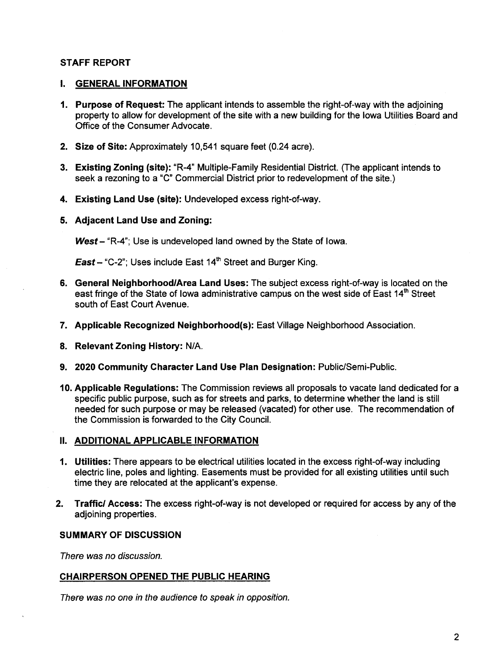## STAFF REPORT

## I. GENERAL INFORMATION

- 1. Purpose of Request: The applicant intends to assemble the right-of-way with the adjoining property to allow for development of the site with a new building for the Iowa Utilities Board and Office of the Consumer Advocate.
- 2. Size of Site: Approximately 10,541 square feet (0.24 acre).
- 3. Existing Zoning (site): "R-4" Multiple-Family Residential District. (The applicant intends to seek a rezoning to a "c" Commercial District prior to redevelopment of the site.)
- 4. Existing Land Use (site): Undeveloped excess right-of-way.
- 5. Adjacent Land Use and Zoning:

West  $-$  "R-4"; Use is undeveloped land owned by the State of Iowa.

**East** – "C-2"; Uses include East  $14<sup>th</sup>$  Street and Burger King.

- 6. General Neighborhood/Area Land Uses: The subject excess right-of-way is located on the east fringe of the State of Iowa administrative campus on the west side of East 14<sup>th</sup> Street south of East Court Avenue.
- 7. Applicable Recognized Neighborhood(s): East Village Neighborhood Association.
- 8. Relevant Zoning History: N/A.
- 9. 2020 Community Character Land Use Plan Designation: Public/Semi-Public.
- 10. Applicable Regulations: The Commission reviews all proposals to vacate land dedicated for a specific public purpose, such as for streets and parks, to determine whether the land is stil needed for such purpose or may be released (vacated) for other use. The recommendation of the Commission is forwarded to the City CounciL.

## II. ADDITIONAL APPLICABLE INFORMATION

- 1. Utilties: There appears to be electrical utilities located in the excess right-of-way including electric line, poles and lighting. Easements must be provided for all existing utilities until such time they are relocated at the applicant's expense.
- 2. Traffic/ Access: The excess right-of-way is not developed or required for access by any of the adjoining properties.

## SUMMARY OF DISCUSSION

There was no discussion.

## CHAIRPERSON OPENED THE PUBLIC HEARING

There was no one in the audience to speak in opposition.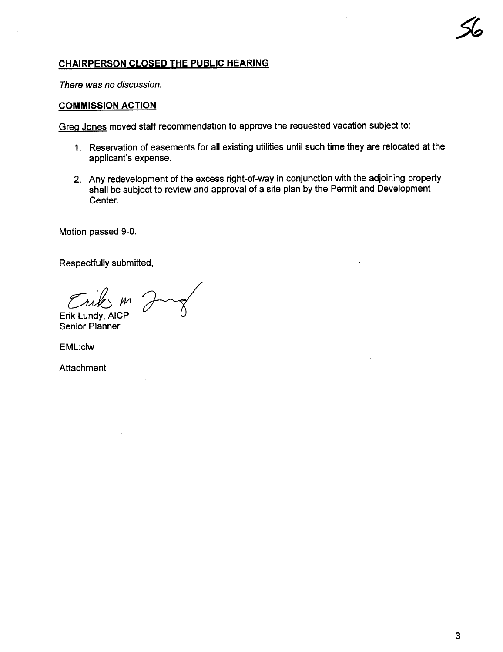## CHAIRPERSON CLOSED THE PUBLIC HEARING

There was no discussion.

#### COMMISSION ACTION

Greg Jones moved staff recommendation to approve the requested vacation subject to:

- 1. Reservation of easements for all existing utilities until such time they are relocated at the applicant's expense.
- 2. Any redevelopment of the excess right-of-way in conjunction with the adjoining property shall be subject to review and approval of a site plan by the Permit and Development Center.

Motion passed 9-0.

Respectfully submitted,

Erik Lundy, AICP<br>Senior Planner

EML:clw

**Attachment**